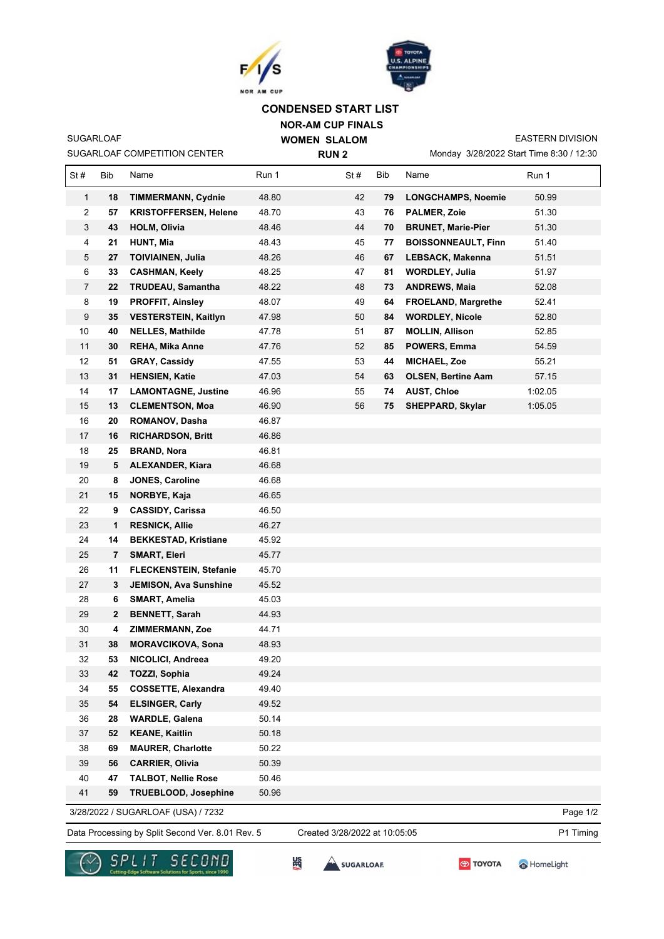



## **CONDENSED START LIST**

**NOR-AM CUP FINALS WOMEN SLALOM** 

SUGARLOAF COMPETITION CENTER

SUGARLOAF

**RUN 2**

Monday 3/28/2022 Start Time 8:30 / 12:30 EASTERN DIVISION

 $\overline{\mathsf{I}}$ 

| St#            | Bib | Name                               | Run 1 | St# | Bib | Name                       | Run 1    |
|----------------|-----|------------------------------------|-------|-----|-----|----------------------------|----------|
| $\mathbf{1}$   | 18  | <b>TIMMERMANN, Cydnie</b>          | 48.80 | 42  | 79  | <b>LONGCHAMPS, Noemie</b>  | 50.99    |
| 2              | 57  | <b>KRISTOFFERSEN, Helene</b>       | 48.70 | 43  | 76  | <b>PALMER, Zoie</b>        | 51.30    |
| 3              | 43  | <b>HOLM, Olivia</b>                | 48.46 | 44  | 70  | <b>BRUNET, Marie-Pier</b>  | 51.30    |
| 4              | 21  | <b>HUNT, Mia</b>                   | 48.43 | 45  | 77  | <b>BOISSONNEAULT, Finn</b> | 51.40    |
| 5              | 27  | <b>TOIVIAINEN, Julia</b>           | 48.26 | 46  | 67  | LEBSACK, Makenna           | 51.51    |
| 6              | 33  | <b>CASHMAN, Keely</b>              | 48.25 | 47  | 81  | <b>WORDLEY, Julia</b>      | 51.97    |
| $\overline{7}$ | 22  | <b>TRUDEAU, Samantha</b>           | 48.22 | 48  | 73  | <b>ANDREWS, Maia</b>       | 52.08    |
| 8              | 19  | <b>PROFFIT, Ainsley</b>            | 48.07 | 49  | 64  | <b>FROELAND, Margrethe</b> | 52.41    |
| 9              | 35  | <b>VESTERSTEIN, Kaitlyn</b>        | 47.98 | 50  | 84  | <b>WORDLEY, Nicole</b>     | 52.80    |
| 10             | 40  | <b>NELLES, Mathilde</b>            | 47.78 | 51  | 87  | <b>MOLLIN, Allison</b>     | 52.85    |
| 11             | 30  | <b>REHA, Mika Anne</b>             | 47.76 | 52  | 85  | POWERS, Emma               | 54.59    |
| 12             | 51  | <b>GRAY, Cassidy</b>               | 47.55 | 53  | 44  | <b>MICHAEL, Zoe</b>        | 55.21    |
| 13             | 31  | <b>HENSIEN, Katie</b>              | 47.03 | 54  | 63  | <b>OLSEN, Bertine Aam</b>  | 57.15    |
| 14             | 17  | <b>LAMONTAGNE, Justine</b>         | 46.96 | 55  | 74  | <b>AUST, Chloe</b>         | 1:02.05  |
| 15             | 13  | <b>CLEMENTSON, Moa</b>             | 46.90 | 56  | 75  | <b>SHEPPARD, Skylar</b>    | 1:05.05  |
| 16             | 20  | <b>ROMANOV, Dasha</b>              | 46.87 |     |     |                            |          |
| 17             | 16  | <b>RICHARDSON, Britt</b>           | 46.86 |     |     |                            |          |
| 18             | 25  | <b>BRAND, Nora</b>                 | 46.81 |     |     |                            |          |
| 19             | 5   | <b>ALEXANDER, Kiara</b>            | 46.68 |     |     |                            |          |
| 20             | 8   | JONES, Caroline                    | 46.68 |     |     |                            |          |
| 21             | 15  | NORBYE, Kaja                       | 46.65 |     |     |                            |          |
| 22             | 9   | <b>CASSIDY, Carissa</b>            | 46.50 |     |     |                            |          |
| 23             | 1   | <b>RESNICK, Allie</b>              | 46.27 |     |     |                            |          |
| 24             | 14  | <b>BEKKESTAD, Kristiane</b>        | 45.92 |     |     |                            |          |
| 25             | 7   | <b>SMART, Eleri</b>                | 45.77 |     |     |                            |          |
| 26             | 11  | <b>FLECKENSTEIN, Stefanie</b>      | 45.70 |     |     |                            |          |
| 27             | 3   | <b>JEMISON, Ava Sunshine</b>       | 45.52 |     |     |                            |          |
| 28             | 6   | <b>SMART, Amelia</b>               | 45.03 |     |     |                            |          |
| 29             | 2   | <b>BENNETT, Sarah</b>              | 44.93 |     |     |                            |          |
| 30             | 4   | <b>ZIMMERMANN, Zoe</b>             | 44.71 |     |     |                            |          |
| 31             | 38  | <b>MORAVCIKOVA, Sona</b>           | 48.93 |     |     |                            |          |
| 32             | 53  | NICOLICI, Andreea                  | 49.20 |     |     |                            |          |
| 33             | 42  | TOZZI, Sophia                      | 49.24 |     |     |                            |          |
| 34             | 55  | <b>COSSETTE, Alexandra</b>         | 49.40 |     |     |                            |          |
| 35             | 54  | <b>ELSINGER, Carly</b>             | 49.52 |     |     |                            |          |
| 36             | 28  | <b>WARDLE, Galena</b>              | 50.14 |     |     |                            |          |
| 37             | 52  | <b>KEANE, Kaitlin</b>              | 50.18 |     |     |                            |          |
| 38             | 69  | <b>MAURER, Charlotte</b>           | 50.22 |     |     |                            |          |
| 39             | 56  | <b>CARRIER, Olivia</b>             | 50.39 |     |     |                            |          |
| 40             | 47  | <b>TALBOT, Nellie Rose</b>         | 50.46 |     |     |                            |          |
| 41             | 59  | <b>TRUEBLOOD, Josephine</b>        | 50.96 |     |     |                            |          |
|                |     | 3/28/2022 / SUGARLOAF (USA) / 7232 |       |     |     |                            | Page 1/2 |

Data Processing by Split Second Ver. 8.01 Rev. 5 Created 3/28/2022 at 10:05:05 P1 Timing

Created 3/28/2022 at 10:05:05





**SES** 



HomeLight